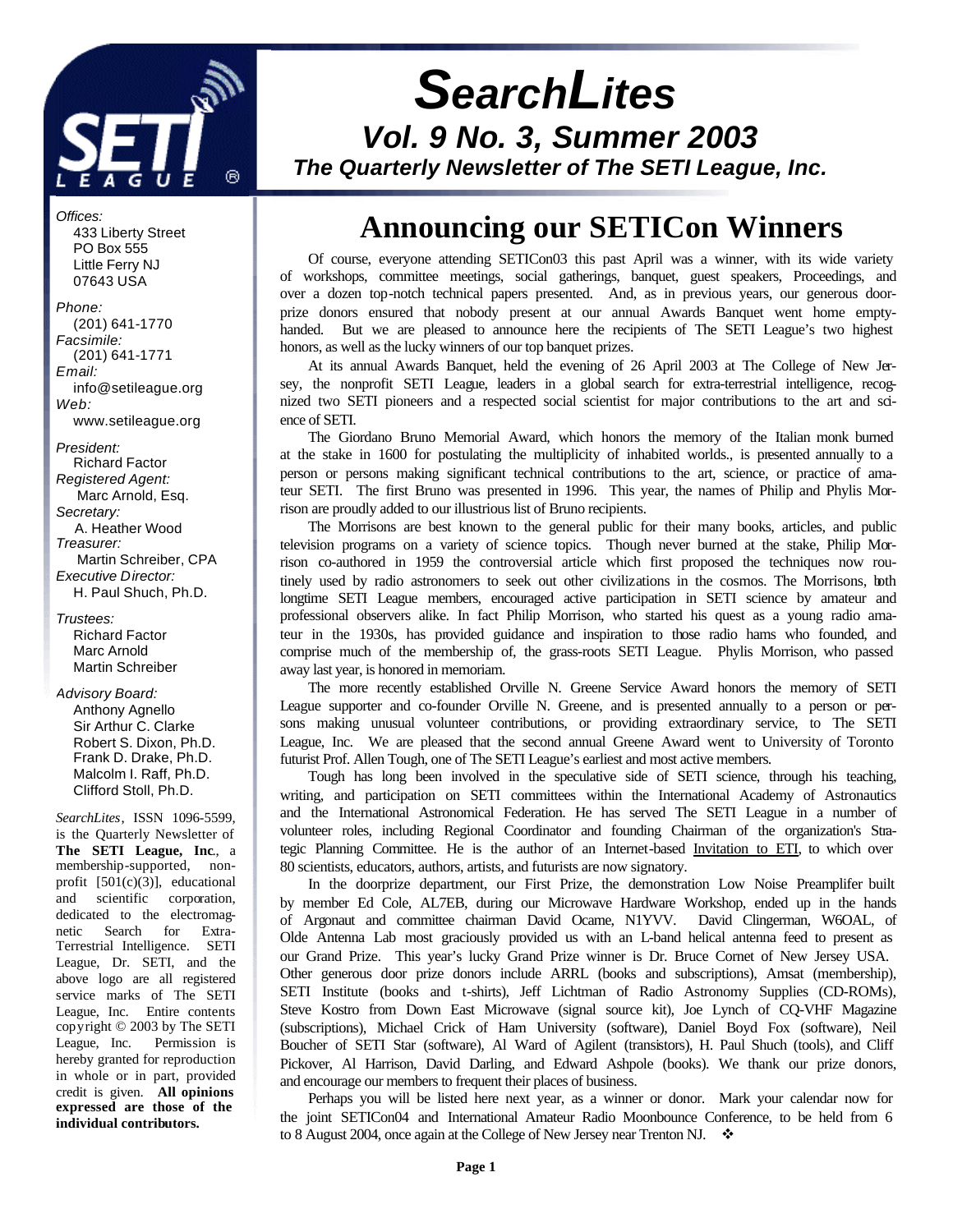

*SearchLites Vol. 9 No. 3, Summer 2003 The Quarterly Newsletter of The SETI League, Inc.*

# **Announcing our SETICon Winners**

Of course, everyone attending SETICon03 this past April was a winner, with its wide variety of workshops, committee meetings, social gatherings, banquet, guest speakers, Proceedings, and over a dozen top-notch technical papers presented. And, as in previous years, our generous doorprize donors ensured that nobody present at our annual Awards Banquet went home emptyhanded. But we are pleased to announce here the recipients of The SETI League's two highest honors, as well as the lucky winners of our top banquet prizes.

At its annual Awards Banquet, held the evening of 26 April 2003 at The College of New Jersey, the nonprofit SETI League, leaders in a global search for extra-terrestrial intelligence, recognized two SETI pioneers and a respected social scientist for major contributions to the art and science of SETI.

The Giordano Bruno Memorial Award, which honors the memory of the Italian monk burned at the stake in 1600 for postulating the multiplicity of inhabited worlds., is presented annually to a person or persons making significant technical contributions to the art, science, or practice of amateur SETI. The first Bruno was presented in 1996. This year, the names of Philip and Phylis Morrison are proudly added to our illustrious list of Bruno recipients.

The Morrisons are best known to the general public for their many books, articles, and public television programs on a variety of science topics. Though never burned at the stake, Philip Morrison co-authored in 1959 the controversial article which first proposed the techniques now routinely used by radio astronomers to seek out other civilizations in the cosmos. The Morrisons, both longtime SETI League members, encouraged active participation in SETI science by amateur and professional observers alike. In fact Philip Morrison, who started his quest as a young radio amateur in the 1930s, has provided guidance and inspiration to those radio hams who founded, and comprise much of the membership of, the grass-roots SETI League. Phylis Morrison, who passed away last year, is honored in memoriam.

The more recently established Orville N. Greene Service Award honors the memory of SETI League supporter and co-founder Orville N. Greene, and is presented annually to a person or persons making unusual volunteer contributions, or providing extraordinary service, to The SETI League, Inc. We are pleased that the second annual Greene Award went to University of Toronto futurist Prof. Allen Tough, one of The SETI League's earliest and most active members.

Tough has long been involved in the speculative side of SETI science, through his teaching, writing, and participation on SETI committees within the International Academy of Astronautics and the International Astronomical Federation. He has served The SETI League in a number of volunteer roles, including Regional Coordinator and founding Chairman of the organization's Strategic Planning Committee. He is the author of an Internet-based Invitation to ETI, to which over 80 scientists, educators, authors, artists, and futurists are now signatory.

In the doorprize department, our First Prize, the demonstration Low Noise Preamplifer built by member Ed Cole, AL7EB, during our Microwave Hardware Workshop, ended up in the hands of Argonaut and committee chairman David Ocame, N1YVV. David Clingerman, W6OAL, of Olde Antenna Lab most graciously provided us with an L-band helical antenna feed to present as our Grand Prize. This year's lucky Grand Prize winner is Dr. Bruce Cornet of New Jersey USA. Other generous door prize donors include ARRL (books and subscriptions), Amsat (membership), SETI Institute (books and t-shirts), Jeff Lichtman of Radio Astronomy Supplies (CD-ROMs), Steve Kostro from Down East Microwave (signal source kit), Joe Lynch of CQ-VHF Magazine (subscriptions), Michael Crick of Ham University (software), Daniel Boyd Fox (software), Neil Boucher of SETI Star (software), Al Ward of Agilent (transistors), H. Paul Shuch (tools), and Cliff Pickover, Al Harrison, David Darling, and Edward Ashpole (books). We thank our prize donors, and encourage our members to frequent their places of business.

Perhaps you will be listed here next year, as a winner or donor. Mark your calendar now for the joint SETICon04 and International Amateur Radio Moonbounce Conference, to be held from 6 to 8 August 2004, once again at the College of New Jersey near Trenton NJ.  $\cdot$ 

*Offices:* 433 Liberty Street PO Box 555 Little Ferry NJ 07643 USA

*Phone:* (201) 641-1770 *Facsimile:* (201) 641-1771 *Email:* info@setileague.org *Web:* www.setileague.org

*President:* Richard Factor *Registered Agent:*  Marc Arnold, Esq. *Secretary:* A. Heather Wood *Treasurer:*  Martin Schreiber, CPA *Executive Director:* H. Paul Shuch, Ph.D.

*Trustees:* Richard Factor Marc Arnold Martin Schreiber

#### *Advisory Board:*

 Anthony Agnello Sir Arthur C. Clarke Robert S. Dixon, Ph.D. Frank D. Drake, Ph.D. Malcolm I. Raff, Ph.D. Clifford Stoll, Ph.D.

*SearchLites*, ISSN 1096-5599, is the Quarterly Newsletter of **The SETI League, Inc**., a membership-supported, nonprofit [501(c)(3)], educational and scientific corporation, dedicated to the electromagnetic Search for Extra-Terrestrial Intelligence. SETI League, Dr. SETI, and the above logo are all registered service marks of The SETI League, Inc. Entire contents copyright © 2003 by The SETI League, Inc. Permission is hereby granted for reproduction in whole or in part, provided credit is given. **All opinions expressed are those of the individual contributors.**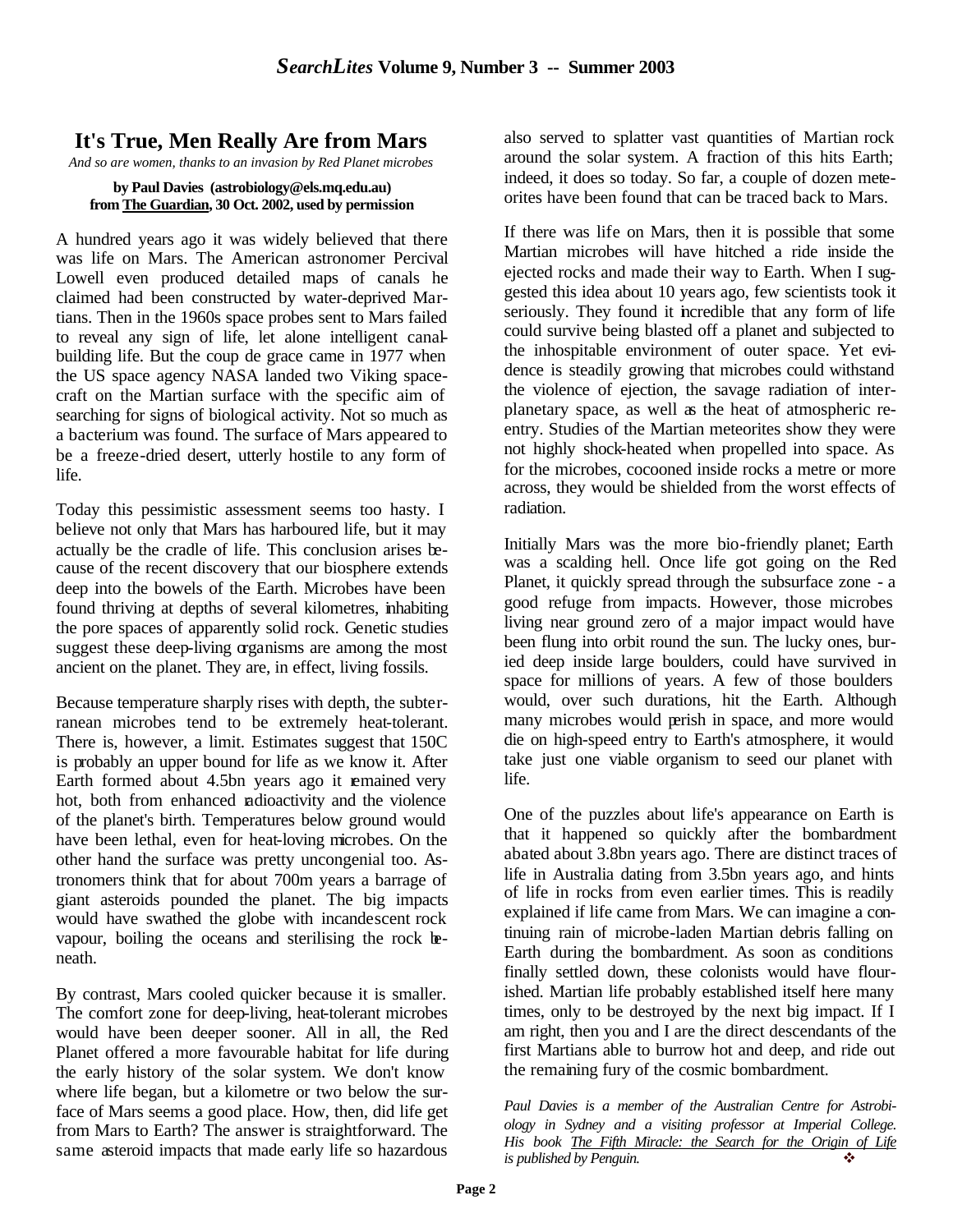## **It's True, Men Really Are from Mars**

*And so are women, thanks to an invasion by Red Planet microbes*

#### **by Paul Davies (astrobiology@els.mq.edu.au) from The Guardian, 30 Oct. 2002, used by permission**

A hundred years ago it was widely believed that there was life on Mars. The American astronomer Percival Lowell even produced detailed maps of canals he claimed had been constructed by water-deprived Martians. Then in the 1960s space probes sent to Mars failed to reveal any sign of life, let alone intelligent canalbuilding life. But the coup de grace came in 1977 when the US space agency NASA landed two Viking spacecraft on the Martian surface with the specific aim of searching for signs of biological activity. Not so much as a bacterium was found. The surface of Mars appeared to be a freeze-dried desert, utterly hostile to any form of life.

Today this pessimistic assessment seems too hasty. I believe not only that Mars has harboured life, but it may actually be the cradle of life. This conclusion arises because of the recent discovery that our biosphere extends deep into the bowels of the Earth. Microbes have been found thriving at depths of several kilometres, inhabiting the pore spaces of apparently solid rock. Genetic studies suggest these deep-living organisms are among the most ancient on the planet. They are, in effect, living fossils.

Because temperature sharply rises with depth, the subterranean microbes tend to be extremely heat-tolerant. There is, however, a limit. Estimates suggest that 150C is probably an upper bound for life as we know it. After Earth formed about 4.5bn years ago it remained very hot, both from enhanced radioactivity and the violence of the planet's birth. Temperatures below ground would have been lethal, even for heat-loving microbes. On the other hand the surface was pretty uncongenial too. Astronomers think that for about 700m years a barrage of giant asteroids pounded the planet. The big impacts would have swathed the globe with incandescent rock vapour, boiling the oceans and sterilising the rock beneath.

By contrast, Mars cooled quicker because it is smaller. The comfort zone for deep-living, heat-tolerant microbes would have been deeper sooner. All in all, the Red Planet offered a more favourable habitat for life during the early history of the solar system. We don't know where life began, but a kilometre or two below the surface of Mars seems a good place. How, then, did life get from Mars to Earth? The answer is straightforward. The same asteroid impacts that made early life so hazardous

also served to splatter vast quantities of Martian rock around the solar system. A fraction of this hits Earth; indeed, it does so today. So far, a couple of dozen meteorites have been found that can be traced back to Mars.

If there was life on Mars, then it is possible that some Martian microbes will have hitched a ride inside the ejected rocks and made their way to Earth. When I suggested this idea about 10 years ago, few scientists took it seriously. They found it incredible that any form of life could survive being blasted off a planet and subjected to the inhospitable environment of outer space. Yet evidence is steadily growing that microbes could withstand the violence of ejection, the savage radiation of interplanetary space, as well as the heat of atmospheric reentry. Studies of the Martian meteorites show they were not highly shock-heated when propelled into space. As for the microbes, cocooned inside rocks a metre or more across, they would be shielded from the worst effects of radiation.

Initially Mars was the more bio-friendly planet; Earth was a scalding hell. Once life got going on the Red Planet, it quickly spread through the subsurface zone - a good refuge from impacts. However, those microbes living near ground zero of a major impact would have been flung into orbit round the sun. The lucky ones, buried deep inside large boulders, could have survived in space for millions of years. A few of those boulders would, over such durations, hit the Earth. Although many microbes would perish in space, and more would die on high-speed entry to Earth's atmosphere, it would take just one viable organism to seed our planet with life.

One of the puzzles about life's appearance on Earth is that it happened so quickly after the bombardment abated about 3.8bn years ago. There are distinct traces of life in Australia dating from 3.5bn years ago, and hints of life in rocks from even earlier times. This is readily explained if life came from Mars. We can imagine a continuing rain of microbe-laden Martian debris falling on Earth during the bombardment. As soon as conditions finally settled down, these colonists would have flourished. Martian life probably established itself here many times, only to be destroyed by the next big impact. If I am right, then you and I are the direct descendants of the first Martians able to burrow hot and deep, and ride out the remaining fury of the cosmic bombardment.

*Paul Davies is a member of the Australian Centre for Astrobiology in Sydney and a visiting professor at Imperial College. His book The Fifth Miracle: the Search for the Origin of Life is published by Penguin.*  $\mathbf{\hat{P}}$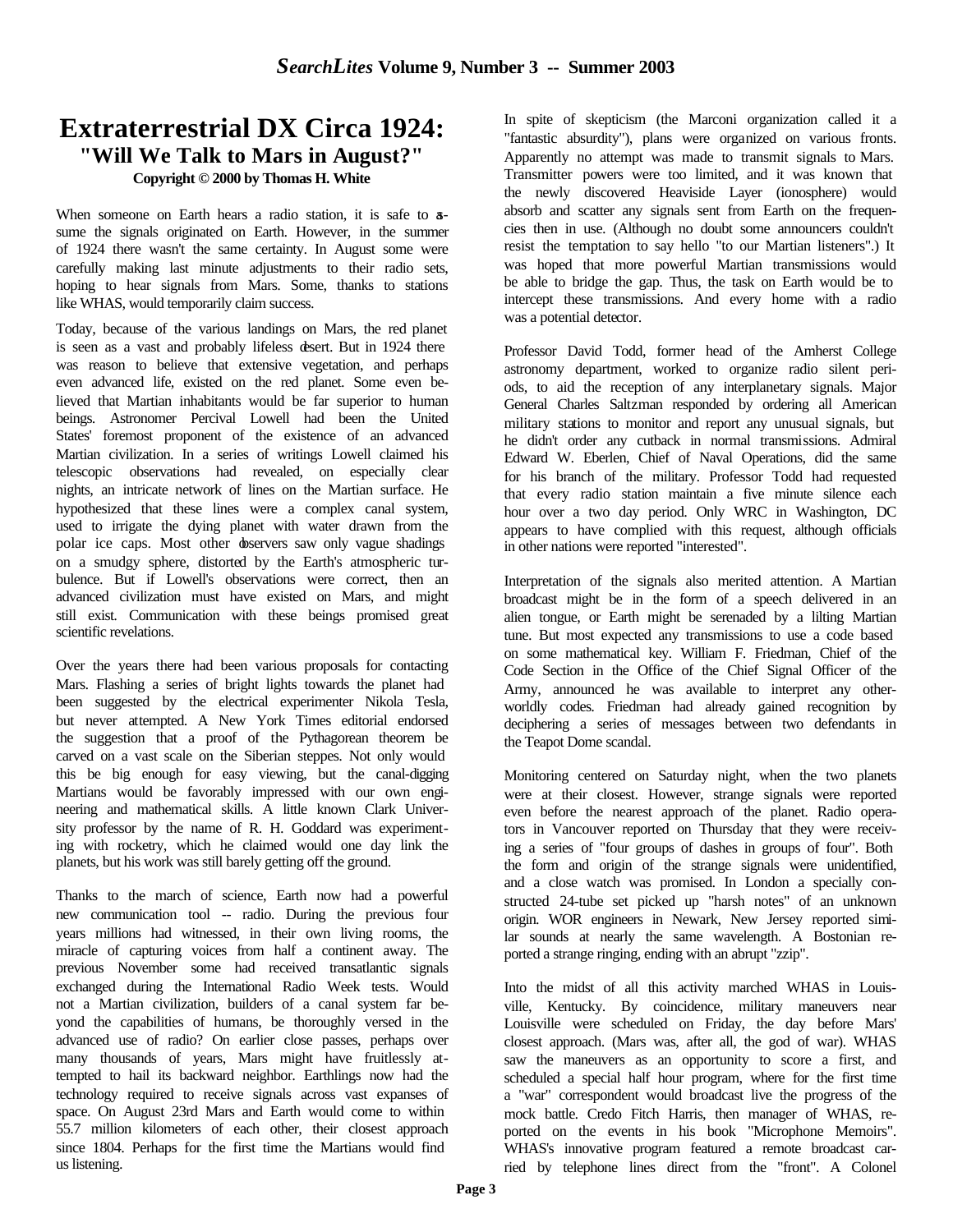# **Extraterrestrial DX Circa 1924: "Will We Talk to Mars in August?"**

## **Copyright © 2000 by Thomas H. White**

When someone on Earth hears a radio station, it is safe to  $a$ sume the signals originated on Earth. However, in the summer of 1924 there wasn't the same certainty. In August some were carefully making last minute adjustments to their radio sets, hoping to hear signals from Mars. Some, thanks to stations like WHAS, would temporarily claim success.

Today, because of the various landings on Mars, the red planet is seen as a vast and probably lifeless desert. But in 1924 there was reason to believe that extensive vegetation, and perhaps even advanced life, existed on the red planet. Some even believed that Martian inhabitants would be far superior to human beings. Astronomer Percival Lowell had been the United States' foremost proponent of the existence of an advanced Martian civilization. In a series of writings Lowell claimed his telescopic observations had revealed, on especially clear nights, an intricate network of lines on the Martian surface. He hypothesized that these lines were a complex canal system, used to irrigate the dying planet with water drawn from the polar ice caps. Most other doservers saw only vague shadings on a smudgy sphere, distorted by the Earth's atmospheric turbulence. But if Lowell's observations were correct, then an advanced civilization must have existed on Mars, and might still exist. Communication with these beings promised great scientific revelations.

Over the years there had been various proposals for contacting Mars. Flashing a series of bright lights towards the planet had been suggested by the electrical experimenter Nikola Tesla, but never attempted. A New York Times editorial endorsed the suggestion that a proof of the Pythagorean theorem be carved on a vast scale on the Siberian steppes. Not only would this be big enough for easy viewing, but the canal-digging Martians would be favorably impressed with our own engineering and mathematical skills. A little known Clark University professor by the name of R. H. Goddard was experimenting with rocketry, which he claimed would one day link the planets, but his work was still barely getting off the ground.

Thanks to the march of science, Earth now had a powerful new communication tool -- radio. During the previous four years millions had witnessed, in their own living rooms, the miracle of capturing voices from half a continent away. The previous November some had received transatlantic signals exchanged during the International Radio Week tests. Would not a Martian civilization, builders of a canal system far beyond the capabilities of humans, be thoroughly versed in the advanced use of radio? On earlier close passes, perhaps over many thousands of years, Mars might have fruitlessly attempted to hail its backward neighbor. Earthlings now had the technology required to receive signals across vast expanses of space. On August 23rd Mars and Earth would come to within 55.7 million kilometers of each other, their closest approach since 1804. Perhaps for the first time the Martians would find us listening.

In spite of skepticism (the Marconi organization called it a "fantastic absurdity"), plans were organized on various fronts. Apparently no attempt was made to transmit signals to Mars. Transmitter powers were too limited, and it was known that the newly discovered Heaviside Layer (ionosphere) would absorb and scatter any signals sent from Earth on the frequencies then in use. (Although no doubt some announcers couldn't resist the temptation to say hello "to our Martian listeners".) It was hoped that more powerful Martian transmissions would be able to bridge the gap. Thus, the task on Earth would be to intercept these transmissions. And every home with a radio was a potential detector.

Professor David Todd, former head of the Amherst College astronomy department, worked to organize radio silent periods, to aid the reception of any interplanetary signals. Major General Charles Saltzman responded by ordering all American military stations to monitor and report any unusual signals, but he didn't order any cutback in normal transmissions. Admiral Edward W. Eberlen, Chief of Naval Operations, did the same for his branch of the military. Professor Todd had requested that every radio station maintain a five minute silence each hour over a two day period. Only WRC in Washington, DC appears to have complied with this request, although officials in other nations were reported "interested".

Interpretation of the signals also merited attention. A Martian broadcast might be in the form of a speech delivered in an alien tongue, or Earth might be serenaded by a lilting Martian tune. But most expected any transmissions to use a code based on some mathematical key. William F. Friedman, Chief of the Code Section in the Office of the Chief Signal Officer of the Army, announced he was available to interpret any otherworldly codes. Friedman had already gained recognition by deciphering a series of messages between two defendants in the Teapot Dome scandal.

Monitoring centered on Saturday night, when the two planets were at their closest. However, strange signals were reported even before the nearest approach of the planet. Radio operators in Vancouver reported on Thursday that they were receiving a series of "four groups of dashes in groups of four". Both the form and origin of the strange signals were unidentified, and a close watch was promised. In London a specially constructed 24-tube set picked up "harsh notes" of an unknown origin. WOR engineers in Newark, New Jersey reported similar sounds at nearly the same wavelength. A Bostonian reported a strange ringing, ending with an abrupt "zzip".

Into the midst of all this activity marched WHAS in Louisville, Kentucky. By coincidence, military maneuvers near Louisville were scheduled on Friday, the day before Mars' closest approach. (Mars was, after all, the god of war). WHAS saw the maneuvers as an opportunity to score a first, and scheduled a special half hour program, where for the first time a "war" correspondent would broadcast live the progress of the mock battle. Credo Fitch Harris, then manager of WHAS, reported on the events in his book "Microphone Memoirs". WHAS's innovative program featured a remote broadcast carried by telephone lines direct from the "front". A Colonel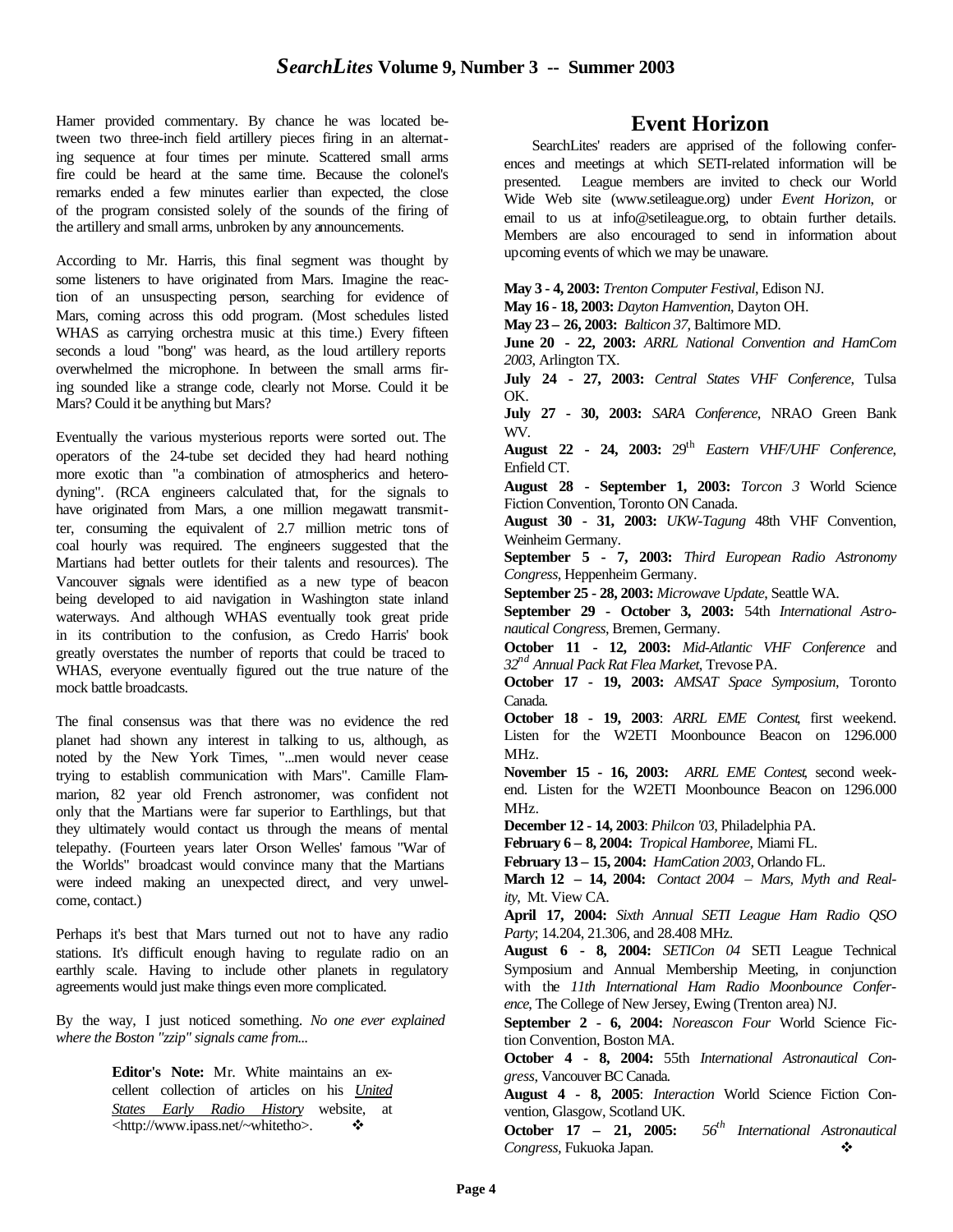Hamer provided commentary. By chance he was located between two three-inch field artillery pieces firing in an alternating sequence at four times per minute. Scattered small arms fire could be heard at the same time. Because the colonel's remarks ended a few minutes earlier than expected, the close of the program consisted solely of the sounds of the firing of the artillery and small arms, unbroken by any announcements.

According to Mr. Harris, this final segment was thought by some listeners to have originated from Mars. Imagine the reaction of an unsuspecting person, searching for evidence of Mars, coming across this odd program. (Most schedules listed WHAS as carrying orchestra music at this time.) Every fifteen seconds a loud "bong" was heard, as the loud artillery reports overwhelmed the microphone. In between the small arms firing sounded like a strange code, clearly not Morse. Could it be Mars? Could it be anything but Mars?

Eventually the various mysterious reports were sorted out. The operators of the 24-tube set decided they had heard nothing more exotic than "a combination of atmospherics and heterodyning". (RCA engineers calculated that, for the signals to have originated from Mars, a one million megawatt transmitter, consuming the equivalent of 2.7 million metric tons of coal hourly was required. The engineers suggested that the Martians had better outlets for their talents and resources). The Vancouver signals were identified as a new type of beacon being developed to aid navigation in Washington state inland waterways. And although WHAS eventually took great pride in its contribution to the confusion, as Credo Harris' book greatly overstates the number of reports that could be traced to WHAS, everyone eventually figured out the true nature of the mock battle broadcasts.

The final consensus was that there was no evidence the red planet had shown any interest in talking to us, although, as noted by the New York Times, "...men would never cease trying to establish communication with Mars". Camille Flammarion, 82 year old French astronomer, was confident not only that the Martians were far superior to Earthlings, but that they ultimately would contact us through the means of mental telepathy. (Fourteen years later Orson Welles' famous "War of the Worlds" broadcast would convince many that the Martians were indeed making an unexpected direct, and very unwelcome, contact.)

Perhaps it's best that Mars turned out not to have any radio stations. It's difficult enough having to regulate radio on an earthly scale. Having to include other planets in regulatory agreements would just make things even more complicated.

By the way, I just noticed something. *No one ever explained where the Boston "zzip" signals came from...* 

> **Editor's Note:** Mr. White maintains an excellent collection of articles on his *United States Early Radio History* website, at  $\langle \text{http://www.ipass.net/~whitetho>}{\bullet}$

## **Event Horizon**

SearchLites' readers are apprised of the following conferences and meetings at which SETI-related information will be presented. League members are invited to check our World Wide Web site (www.setileague.org) under *Event Horizon*, or email to us at info@setileague.org, to obtain further details. Members are also encouraged to send in information about upcoming events of which we may be unaware.

**May 3 - 4, 2003:** *Trenton Computer Festival*, Edison NJ.

**May 16 - 18, 2003:** *Dayton Hamvention*, Dayton OH.

**May 23 – 26, 2003:** *Balticon 37*, Baltimore MD.

**June 20 - 22, 2003:** *ARRL National Convention and HamCom 2003*, Arlington TX.

**July 24 - 27, 2003:** *Central States VHF Conference*, Tulsa OK.

**July 27 - 30, 2003:** *SARA Conference*, NRAO Green Bank WV.

**August 22 - 24, 2003:** 29th *Eastern VHF/UHF Conference*, Enfield CT.

**August 28 - September 1, 2003:** *Torcon 3* World Science Fiction Convention, Toronto ON Canada.

**August 30 - 31, 2003:** *UKW-Tagung* 48th VHF Convention, Weinheim Germany.

**September 5 - 7, 2003:** *Third European Radio Astronomy Congress*, Heppenheim Germany.

**September 25 - 28, 2003:** *Microwave Update*, Seattle WA.

**September 29 - October 3, 2003:** 54th *International Astronautical Congress*, Bremen, Germany.

**October 11 - 12, 2003:** *Mid-Atlantic VHF Conference* and *32nd Annual Pack Rat Flea Market*, Trevose PA.

**October 17 - 19, 2003:** *AMSAT Space Symposium*, Toronto Canada.

**October 18 - 19, 2003**: *ARRL EME Contest*, first weekend. Listen for the W2ETI Moonbounce Beacon on 1296.000 MHz.

**November 15 - 16, 2003:** *ARRL EME Contest*, second weekend. Listen for the W2ETI Moonbounce Beacon on 1296.000 MHz.

**December 12 - 14, 2003**: *Philcon '03*, Philadelphia PA.

**February 6 – 8, 2004:** *Tropical Hamboree,* Miami FL.

**February 13 – 15, 2004:** *HamCation 2003,* Orlando FL.

**March 12 – 14, 2004:** *Contact 2004 – Mars, Myth and Reality*, Mt. View CA.

**April 17, 2004:** *Sixth Annual SETI League Ham Radio QSO Party*; 14.204, 21.306, and 28.408 MHz.

**August 6 - 8, 2004:** *SETICon 04* SETI League Technical Symposium and Annual Membership Meeting, in conjunction with the *11th International Ham Radio Moonbounce Conference*, The College of New Jersey, Ewing (Trenton area) NJ.

**September 2 - 6, 2004:** *Noreascon Four* World Science Fiction Convention, Boston MA.

**October 4 - 8, 2004:** 55th *International Astronautical Congress*, Vancouver BC Canada.

**August 4 - 8, 2005**: *Interaction* World Science Fiction Convention, Glasgow, Scotland UK.

**October 17 – 21, 2005:** *56th International Astronautical Congress,* Fukuoka Japan. v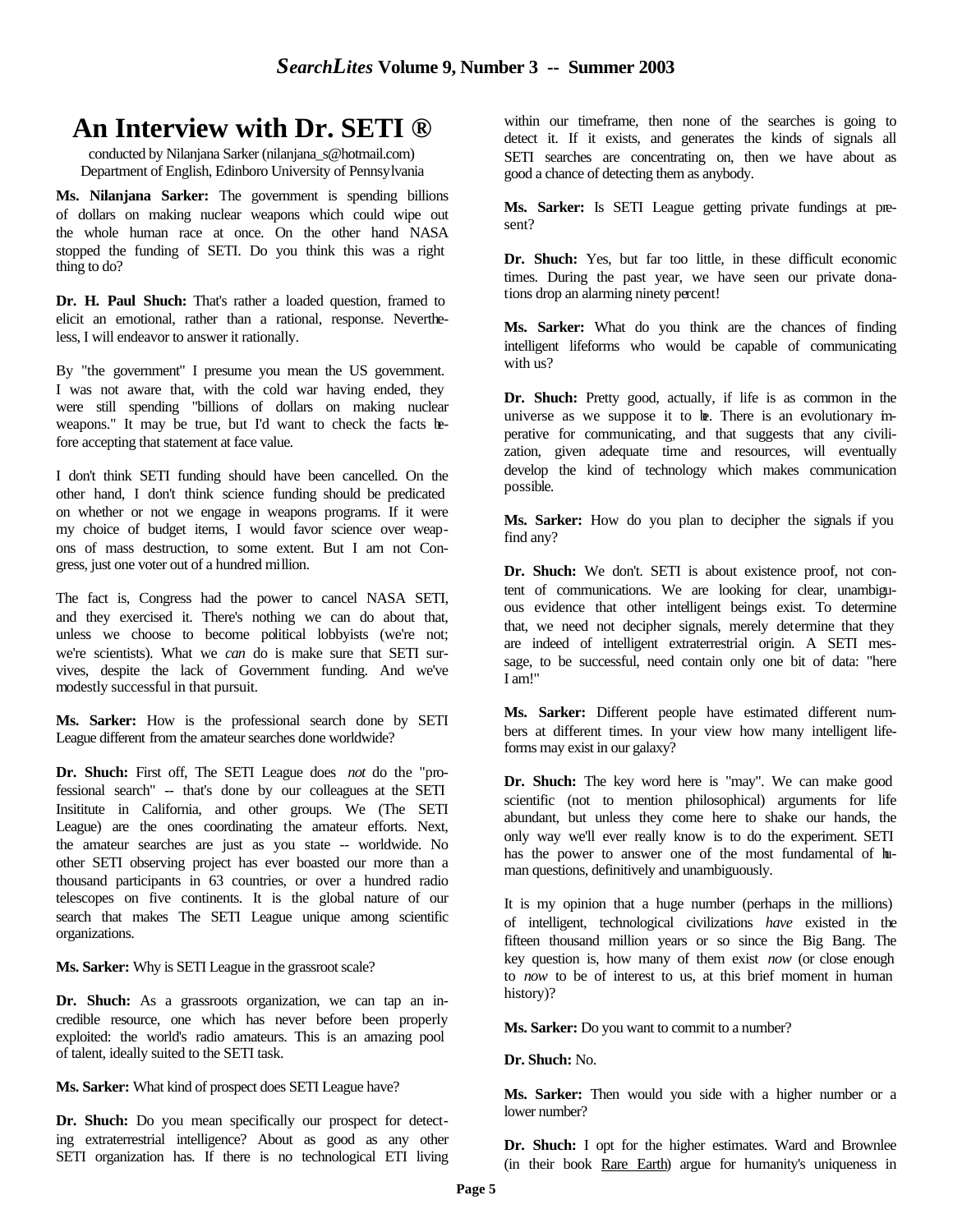# **An Interview with Dr. SETI ®**

conducted by Nilanjana Sarker (nilanjana\_s@hotmail.com) Department of English, Edinboro University of Pennsylvania

**Ms. Nilanjana Sarker:** The government is spending billions of dollars on making nuclear weapons which could wipe out the whole human race at once. On the other hand NASA stopped the funding of SETI. Do you think this was a right thing to do?

**Dr. H. Paul Shuch:** That's rather a loaded question, framed to elicit an emotional, rather than a rational, response. Nevertheless, I will endeavor to answer it rationally.

By "the government" I presume you mean the US government. I was not aware that, with the cold war having ended, they were still spending "billions of dollars on making nuclear weapons." It may be true, but I'd want to check the facts before accepting that statement at face value.

I don't think SETI funding should have been cancelled. On the other hand, I don't think science funding should be predicated on whether or not we engage in weapons programs. If it were my choice of budget items, I would favor science over weapons of mass destruction, to some extent. But I am not Congress, just one voter out of a hundred million.

The fact is, Congress had the power to cancel NASA SETI, and they exercised it. There's nothing we can do about that, unless we choose to become political lobbyists (we're not; we're scientists). What we *can* do is make sure that SETI survives, despite the lack of Government funding. And we've modestly successful in that pursuit.

**Ms. Sarker:** How is the professional search done by SETI League different from the amateur searches done worldwide?

**Dr. Shuch:** First off, The SETI League does *not* do the "professional search" -- that's done by our colleagues at the SETI Insititute in California, and other groups. We (The SETI League) are the ones coordinating the amateur efforts. Next, the amateur searches are just as you state -- worldwide. No other SETI observing project has ever boasted our more than a thousand participants in 63 countries, or over a hundred radio telescopes on five continents. It is the global nature of our search that makes The SETI League unique among scientific organizations.

**Ms. Sarker:** Why is SETI League in the grassroot scale?

**Dr. Shuch:** As a grassroots organization, we can tap an incredible resource, one which has never before been properly exploited: the world's radio amateurs. This is an amazing pool of talent, ideally suited to the SETI task.

**Ms. Sarker:** What kind of prospect does SETI League have?

**Dr. Shuch:** Do you mean specifically our prospect for detecting extraterrestrial intelligence? About as good as any other SETI organization has. If there is no technological ETI living within our timeframe, then none of the searches is going to detect it. If it exists, and generates the kinds of signals all SETI searches are concentrating on, then we have about as good a chance of detecting them as anybody.

**Ms. Sarker:** Is SETI League getting private fundings at present?

**Dr. Shuch:** Yes, but far too little, in these difficult economic times. During the past year, we have seen our private donations drop an alarming ninety percent!

**Ms. Sarker:** What do you think are the chances of finding intelligent lifeforms who would be capable of communicating with us?

**Dr. Shuch:** Pretty good, actually, if life is as common in the universe as we suppose it to  $\mathbf{b}$ . There is an evolutionary inperative for communicating, and that suggests that any civilization, given adequate time and resources, will eventually develop the kind of technology which makes communication possible.

**Ms. Sarker:** How do you plan to decipher the signals if you find any?

**Dr. Shuch:** We don't. SETI is about existence proof, not content of communications. We are looking for clear, unambiguous evidence that other intelligent beings exist. To determine that, we need not decipher signals, merely determine that they are indeed of intelligent extraterrestrial origin. A SETI message, to be successful, need contain only one bit of data: "here I am!"

**Ms. Sarker:** Different people have estimated different numbers at different times. In your view how many intelligent lifeforms may exist in our galaxy?

**Dr. Shuch:** The key word here is "may". We can make good scientific (not to mention philosophical) arguments for life abundant, but unless they come here to shake our hands, the only way we'll ever really know is to do the experiment. SETI has the power to answer one of the most fundamental of  $h$ uman questions, definitively and unambiguously.

It is my opinion that a huge number (perhaps in the millions) of intelligent, technological civilizations *have* existed in the fifteen thousand million years or so since the Big Bang. The key question is, how many of them exist *now* (or close enough to *now* to be of interest to us, at this brief moment in human history)?

**Ms. Sarker:** Do you want to commit to a number?

**Dr. Shuch:** No.

**Ms. Sarker:** Then would you side with a higher number or a lower number?

**Dr. Shuch:** I opt for the higher estimates. Ward and Brownlee (in their book Rare Earth) argue for humanity's uniqueness in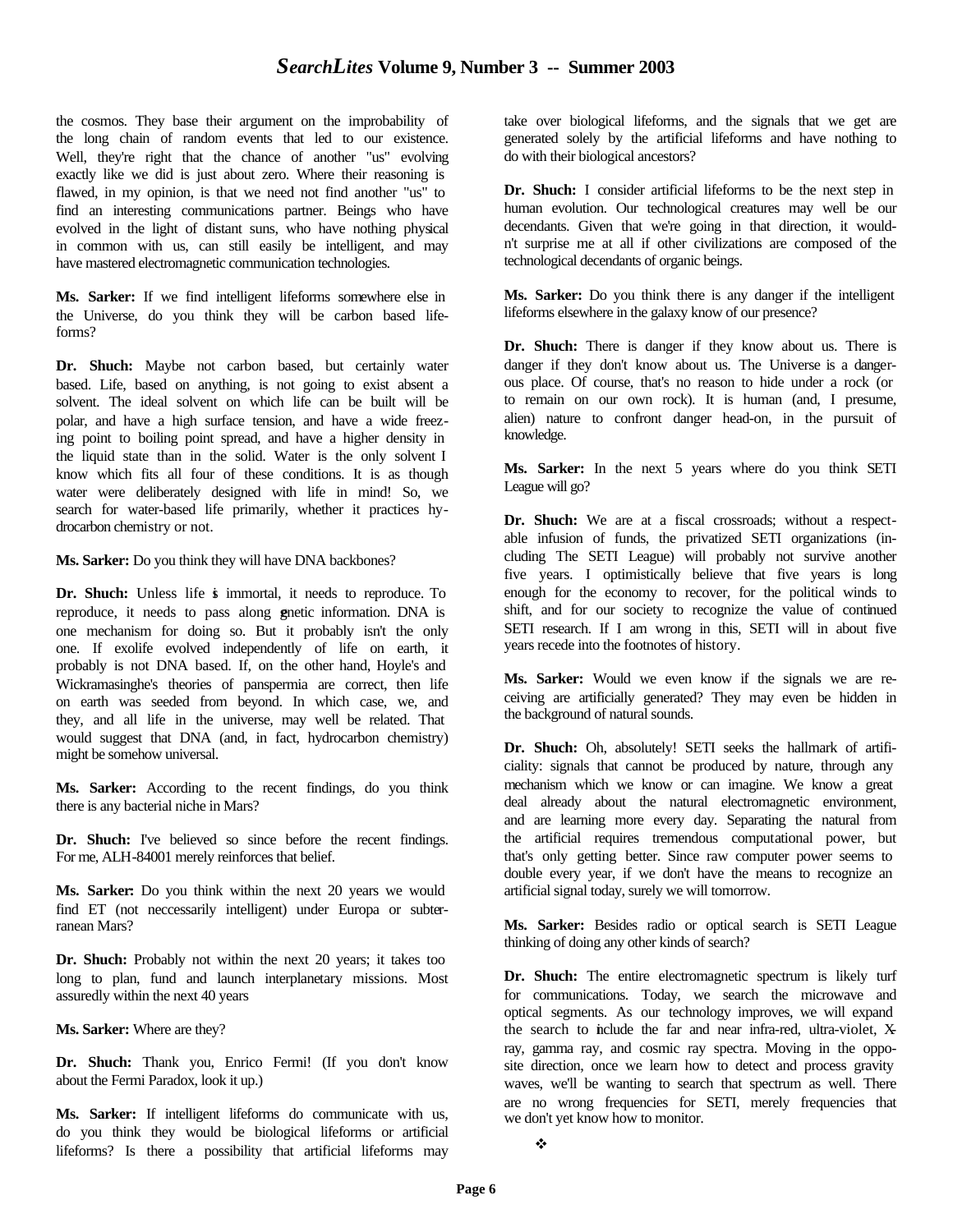the cosmos. They base their argument on the improbability of the long chain of random events that led to our existence. Well, they're right that the chance of another "us" evolving exactly like we did is just about zero. Where their reasoning is flawed, in my opinion, is that we need not find another "us" to find an interesting communications partner. Beings who have evolved in the light of distant suns, who have nothing physical in common with us, can still easily be intelligent, and may have mastered electromagnetic communication technologies.

**Ms. Sarker:** If we find intelligent lifeforms somewhere else in the Universe, do you think they will be carbon based lifeforms?

**Dr. Shuch:** Maybe not carbon based, but certainly water based. Life, based on anything, is not going to exist absent a solvent. The ideal solvent on which life can be built will be polar, and have a high surface tension, and have a wide freezing point to boiling point spread, and have a higher density in the liquid state than in the solid. Water is the only solvent I know which fits all four of these conditions. It is as though water were deliberately designed with life in mind! So, we search for water-based life primarily, whether it practices hydrocarbon chemistry or not.

**Ms. Sarker:** Do you think they will have DNA backbones?

Dr. Shuch: Unless life is immortal, it needs to reproduce. To reproduce, it needs to pass along genetic information. DNA is one mechanism for doing so. But it probably isn't the only one. If exolife evolved independently of life on earth, it probably is not DNA based. If, on the other hand, Hoyle's and Wickramasinghe's theories of panspermia are correct, then life on earth was seeded from beyond. In which case, we, and they, and all life in the universe, may well be related. That would suggest that DNA (and, in fact, hydrocarbon chemistry) might be somehow universal.

**Ms. Sarker:** According to the recent findings, do you think there is any bacterial niche in Mars?

**Dr. Shuch:** I've believed so since before the recent findings. For me, ALH-84001 merely reinforces that belief.

**Ms. Sarker:** Do you think within the next 20 years we would find ET (not neccessarily intelligent) under Europa or subterranean Mars?

**Dr. Shuch:** Probably not within the next 20 years; it takes too long to plan, fund and launch interplanetary missions. Most assuredly within the next 40 years

**Ms. Sarker:** Where are they?

**Dr. Shuch:** Thank you, Enrico Fermi! (If you don't know about the Fermi Paradox, look it up.)

**Ms. Sarker:** If intelligent lifeforms do communicate with us, do you think they would be biological lifeforms or artificial lifeforms? Is there a possibility that artificial lifeforms may take over biological lifeforms, and the signals that we get are generated solely by the artificial lifeforms and have nothing to do with their biological ancestors?

**Dr. Shuch:** I consider artificial lifeforms to be the next step in human evolution. Our technological creatures may well be our decendants. Given that we're going in that direction, it wouldn't surprise me at all if other civilizations are composed of the technological decendants of organic beings.

**Ms. Sarker:** Do you think there is any danger if the intelligent lifeforms elsewhere in the galaxy know of our presence?

**Dr. Shuch:** There is danger if they know about us. There is danger if they don't know about us. The Universe is a dangerous place. Of course, that's no reason to hide under a rock (or to remain on our own rock). It is human (and, I presume, alien) nature to confront danger head-on, in the pursuit of knowledge.

**Ms. Sarker:** In the next 5 years where do you think SETI League will go?

**Dr. Shuch:** We are at a fiscal crossroads; without a respectable infusion of funds, the privatized SETI organizations (including The SETI League) will probably not survive another five years. I optimistically believe that five years is long enough for the economy to recover, for the political winds to shift, and for our society to recognize the value of continued SETI research. If I am wrong in this, SETI will in about five years recede into the footnotes of history.

**Ms. Sarker:** Would we even know if the signals we are receiving are artificially generated? They may even be hidden in the background of natural sounds.

**Dr. Shuch:** Oh, absolutely! SETI seeks the hallmark of artificiality: signals that cannot be produced by nature, through any mechanism which we know or can imagine. We know a great deal already about the natural electromagnetic environment, and are learning more every day. Separating the natural from the artificial requires tremendous computational power, but that's only getting better. Since raw computer power seems to double every year, if we don't have the means to recognize an artificial signal today, surely we will tomorrow.

**Ms. Sarker:** Besides radio or optical search is SETI League thinking of doing any other kinds of search?

**Dr. Shuch:** The entire electromagnetic spectrum is likely turf for communications. Today, we search the microwave and optical segments. As our technology improves, we will expand the search to include the far and near infra-red, ultra-violet, Xray, gamma ray, and cosmic ray spectra. Moving in the opposite direction, once we learn how to detect and process gravity waves, we'll be wanting to search that spectrum as well. There are no wrong frequencies for SETI, merely frequencies that we don't yet know how to monitor.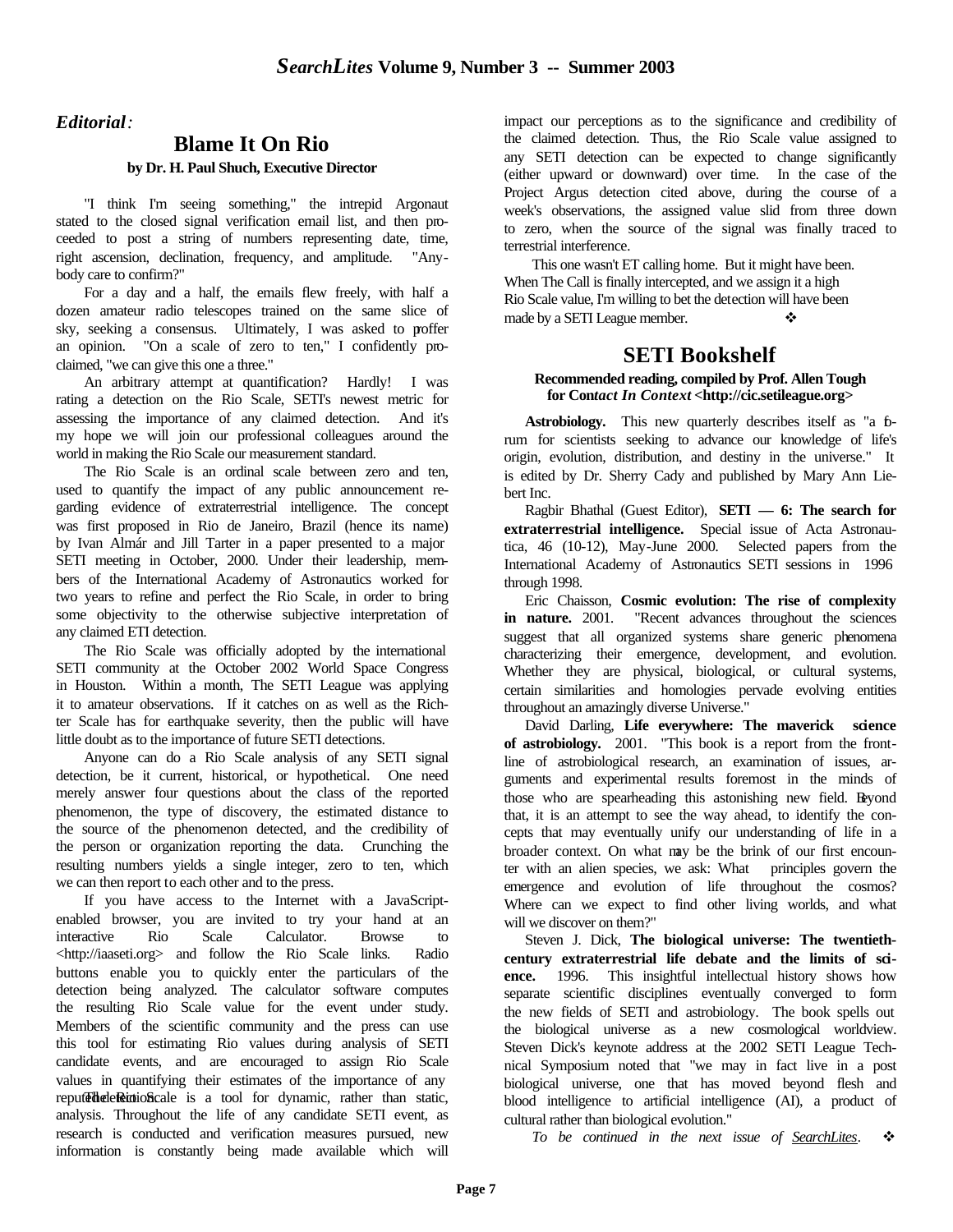#### *Editorial:*

#### **Blame It On Rio by Dr. H. Paul Shuch, Executive Director**

"I think I'm seeing something," the intrepid Argonaut stated to the closed signal verification email list, and then proceeded to post a string of numbers representing date, time, right ascension, declination, frequency, and amplitude. "Anybody care to confirm?"

For a day and a half, the emails flew freely, with half a dozen amateur radio telescopes trained on the same slice of sky, seeking a consensus. Ultimately, I was asked to proffer an opinion. "On a scale of zero to ten," I confidently proclaimed, "we can give this one a three."

An arbitrary attempt at quantification? Hardly! I was rating a detection on the Rio Scale, SETI's newest metric for assessing the importance of any claimed detection. And it's my hope we will join our professional colleagues around the world in making the Rio Scale our measurement standard.

The Rio Scale is an ordinal scale between zero and ten, used to quantify the impact of any public announcement regarding evidence of extraterrestrial intelligence. The concept was first proposed in Rio de Janeiro, Brazil (hence its name) by Ivan Almár and Jill Tarter in a paper presented to a major SETI meeting in October, 2000. Under their leadership, members of the International Academy of Astronautics worked for two years to refine and perfect the Rio Scale, in order to bring some objectivity to the otherwise subjective interpretation of any claimed ETI detection.

The Rio Scale was officially adopted by the international SETI community at the October 2002 World Space Congress in Houston. Within a month, The SETI League was applying it to amateur observations. If it catches on as well as the Richter Scale has for earthquake severity, then the public will have little doubt as to the importance of future SETI detections.

Anyone can do a Rio Scale analysis of any SETI signal detection, be it current, historical, or hypothetical. One need merely answer four questions about the class of the reported phenomenon, the type of discovery, the estimated distance to the source of the phenomenon detected, and the credibility of the person or organization reporting the data. Crunching the resulting numbers yields a single integer, zero to ten, which we can then report to each other and to the press.

If you have access to the Internet with a JavaScriptenabled browser, you are invited to try your hand at an interactive Rio Scale Calculator. Browse to <http://iaaseti.org> and follow the Rio Scale links. Radio buttons enable you to quickly enter the particulars of the detection being analyzed. The calculator software computes the resulting Rio Scale value for the event under study. Members of the scientific community and the press can use this tool for estimating Rio values during analysis of SETI candidate events, and are encouraged to assign Rio Scale values in quantifying their estimates of the importance of any reputed detection. The Rio Scale is a tool for dynamic, rather than static, analysis. Throughout the life of any candidate SETI event, as research is conducted and verification measures pursued, new information is constantly being made available which will

impact our perceptions as to the significance and credibility of the claimed detection. Thus, the Rio Scale value assigned to any SETI detection can be expected to change significantly (either upward or downward) over time. In the case of the Project Argus detection cited above, during the course of a week's observations, the assigned value slid from three down to zero, when the source of the signal was finally traced to terrestrial interference.

This one wasn't ET calling home. But it might have been. When The Call is finally intercepted, and we assign it a high Rio Scale value, I'm willing to bet the detection will have been made by a SETI League member.

### **SETI Bookshelf**

#### **Recommended reading, compiled by Prof. Allen Tough for Con***tact In Context* **<http://cic.setileague.org>**

Astrobiology. This new quarterly describes itself as "a forum for scientists seeking to advance our knowledge of life's origin, evolution, distribution, and destiny in the universe." It is edited by Dr. Sherry Cady and published by Mary Ann Liebert Inc.

Ragbir Bhathal (Guest Editor), **SETI — 6: The search for extraterrestrial intelligence.** Special issue of Acta Astronautica, 46 (10-12), May-June 2000. Selected papers from the International Academy of Astronautics SETI sessions in 1996 through 1998.

Eric Chaisson, **Cosmic evolution: The rise of complexity in nature.** 2001. "Recent advances throughout the sciences suggest that all organized systems share generic phenomena characterizing their emergence, development, and evolution. Whether they are physical, biological, or cultural systems, certain similarities and homologies pervade evolving entities throughout an amazingly diverse Universe."

David Darling, **Life everywhere: The maverick science of astrobiology.** 2001. "This book is a report from the frontline of astrobiological research, an examination of issues, arguments and experimental results foremost in the minds of those who are spearheading this astonishing new field. Beyond that, it is an attempt to see the way ahead, to identify the concepts that may eventually unify our understanding of life in a broader context. On what may be the brink of our first encounter with an alien species, we ask: What principles govern the emergence and evolution of life throughout the cosmos? Where can we expect to find other living worlds, and what will we discover on them?"

Steven J. Dick, **The biological universe: The twentiethcentury extraterrestrial life debate and the limits of science.** 1996. This insightful intellectual history shows how separate scientific disciplines eventually converged to form the new fields of SETI and astrobiology. The book spells out the biological universe as a new cosmological worldview. Steven Dick's keynote address at the 2002 SETI League Technical Symposium noted that "we may in fact live in a post biological universe, one that has moved beyond flesh and blood intelligence to artificial intelligence (AI), a product of cultural rather than biological evolution."

*To be continued in the next issue of SearchLites.* v